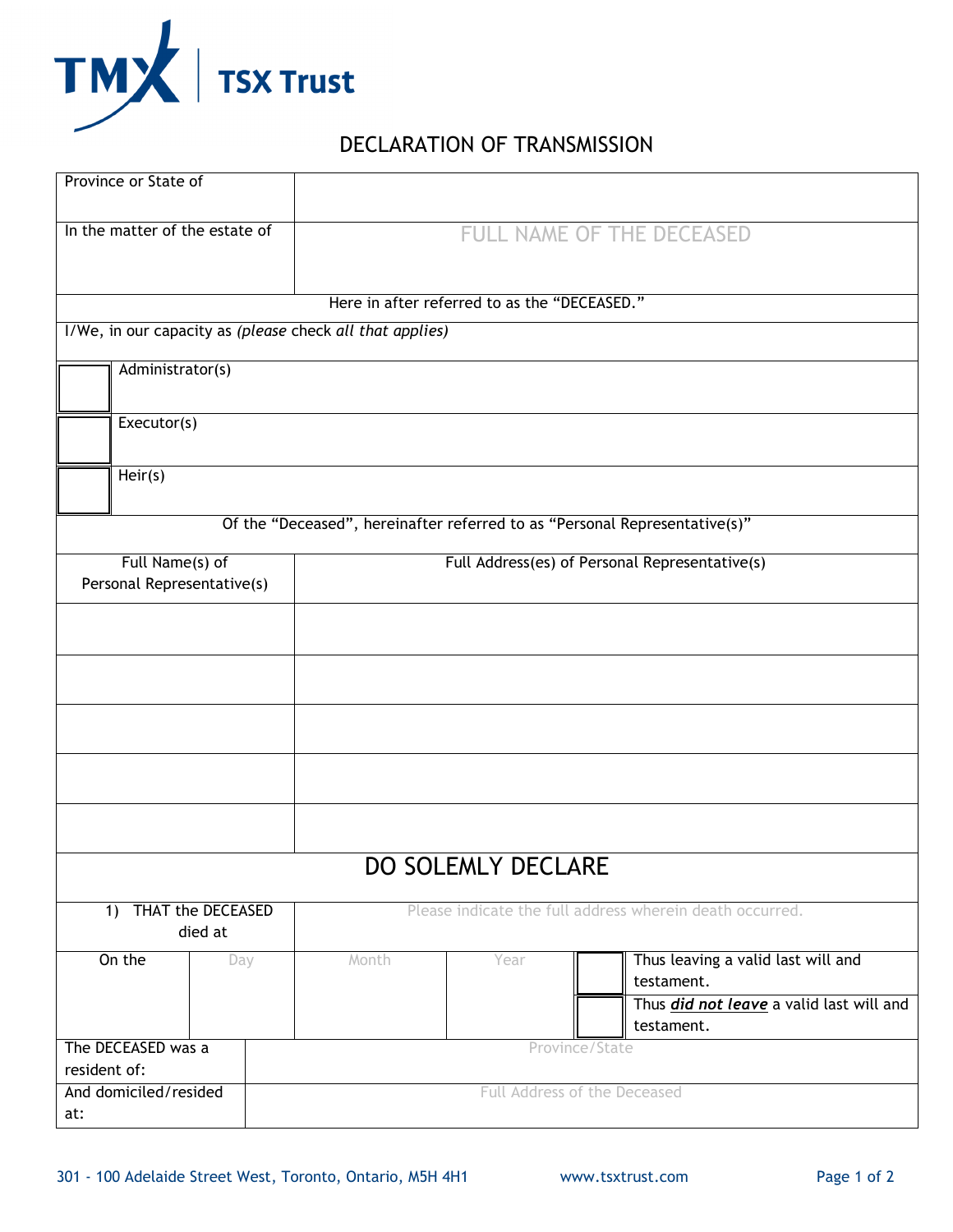

## DECLARATION OF TRANSMISSION

| Province or State of                                     |                                                |                                                          |                                                                            |  |  |  |  |
|----------------------------------------------------------|------------------------------------------------|----------------------------------------------------------|----------------------------------------------------------------------------|--|--|--|--|
| In the matter of the estate of                           | FULL NAME OF THE DECEASED                      |                                                          |                                                                            |  |  |  |  |
|                                                          |                                                | Here in after referred to as the "DECEASED."             |                                                                            |  |  |  |  |
| I/We, in our capacity as (please check all that applies) |                                                |                                                          |                                                                            |  |  |  |  |
| Administrator(s)                                         |                                                |                                                          |                                                                            |  |  |  |  |
| Executor(s)                                              |                                                |                                                          |                                                                            |  |  |  |  |
| Heir(s)                                                  |                                                |                                                          |                                                                            |  |  |  |  |
|                                                          |                                                |                                                          | Of the "Deceased", hereinafter referred to as "Personal Representative(s)" |  |  |  |  |
| Full Name(s) of<br>Personal Representative(s)            | Full Address(es) of Personal Representative(s) |                                                          |                                                                            |  |  |  |  |
|                                                          |                                                |                                                          |                                                                            |  |  |  |  |
|                                                          |                                                |                                                          |                                                                            |  |  |  |  |
|                                                          |                                                |                                                          |                                                                            |  |  |  |  |
|                                                          |                                                |                                                          |                                                                            |  |  |  |  |
|                                                          |                                                |                                                          |                                                                            |  |  |  |  |
| DO SOLEMLY DECLARE                                       |                                                |                                                          |                                                                            |  |  |  |  |
| 1) THAT the DECEASED<br>died at                          |                                                | Please indicate the full address wherein death occurred. |                                                                            |  |  |  |  |
| On the<br>Day                                            | Month                                          | Year                                                     | Thus leaving a valid last will and<br>testament.                           |  |  |  |  |
|                                                          |                                                |                                                          | Thus <i>did not leave</i> a valid last will and<br>testament.              |  |  |  |  |
| The DECEASED was a<br>resident of:                       |                                                |                                                          | Province/State                                                             |  |  |  |  |
| And domiciled/resided<br>at:                             |                                                |                                                          | Full Address of the Deceased                                               |  |  |  |  |